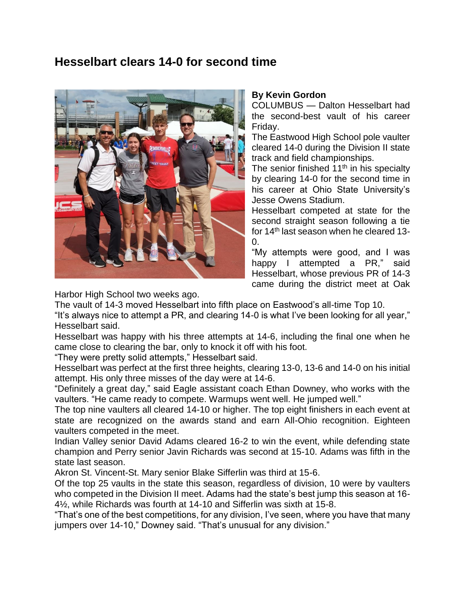## **Hesselbart clears 14-0 for second time**



## **By Kevin Gordon**

COLUMBUS — Dalton Hesselbart had the second-best vault of his career Friday.

The Eastwood High School pole vaulter cleared 14-0 during the Division II state track and field championships.

The senior finished 11<sup>th</sup> in his specialty by clearing 14-0 for the second time in his career at Ohio State University's Jesse Owens Stadium.

Hesselbart competed at state for the second straight season following a tie for 14th last season when he cleared 13- 0.

"My attempts were good, and I was happy I attempted a PR," said Hesselbart, whose previous PR of 14-3 came during the district meet at Oak

Harbor High School two weeks ago.

The vault of 14-3 moved Hesselbart into fifth place on Eastwood's all-time Top 10.

"It's always nice to attempt a PR, and clearing 14-0 is what I've been looking for all year," Hesselbart said.

Hesselbart was happy with his three attempts at 14-6, including the final one when he came close to clearing the bar, only to knock it off with his foot.

"They were pretty solid attempts," Hesselbart said.

Hesselbart was perfect at the first three heights, clearing 13-0, 13-6 and 14-0 on his initial attempt. His only three misses of the day were at 14-6.

"Definitely a great day," said Eagle assistant coach Ethan Downey, who works with the vaulters. "He came ready to compete. Warmups went well. He jumped well."

The top nine vaulters all cleared 14-10 or higher. The top eight finishers in each event at state are recognized on the awards stand and earn All-Ohio recognition. Eighteen vaulters competed in the meet.

Indian Valley senior David Adams cleared 16-2 to win the event, while defending state champion and Perry senior Javin Richards was second at 15-10. Adams was fifth in the state last season.

Akron St. Vincent-St. Mary senior Blake Sifferlin was third at 15-6.

Of the top 25 vaults in the state this season, regardless of division, 10 were by vaulters who competed in the Division II meet. Adams had the state's best jump this season at 16- 4½, while Richards was fourth at 14-10 and Sifferlin was sixth at 15-8.

"That's one of the best competitions, for any division, I've seen, where you have that many jumpers over 14-10," Downey said. "That's unusual for any division."